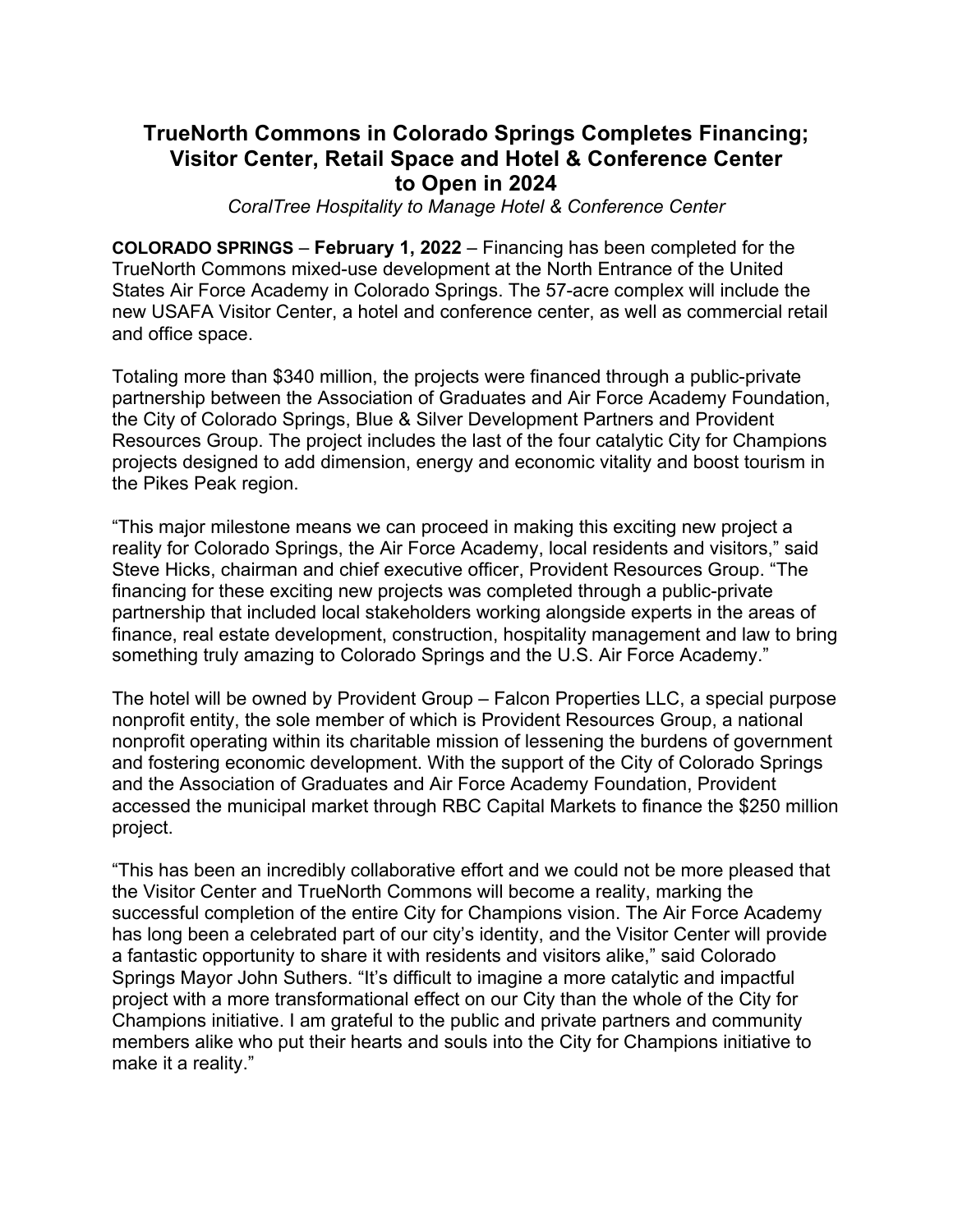## **TrueNorth Commons in Colorado Springs Completes Financing; Visitor Center, Retail Space and Hotel & Conference Center to Open in 2024**

*CoralTree Hospitality to Manage Hotel & Conference Center*

**COLORADO SPRINGS** – **February 1, 2022** – Financing has been completed for the TrueNorth Commons mixed-use development at the North Entrance of the United States Air Force Academy in Colorado Springs. The 57-acre complex will include the new USAFA Visitor Center, a hotel and conference center, as well as commercial retail and office space.

Totaling more than \$340 million, the projects were financed through a public-private partnership between the Association of Graduates and Air Force Academy Foundation, the City of Colorado Springs, Blue & Silver Development Partners and Provident Resources Group. The project includes the last of the four catalytic City for Champions projects designed to add dimension, energy and economic vitality and boost tourism in the Pikes Peak region.

"This major milestone means we can proceed in making this exciting new project a reality for Colorado Springs, the Air Force Academy, local residents and visitors," said Steve Hicks, chairman and chief executive officer, Provident Resources Group. "The financing for these exciting new projects was completed through a public-private partnership that included local stakeholders working alongside experts in the areas of finance, real estate development, construction, hospitality management and law to bring something truly amazing to Colorado Springs and the U.S. Air Force Academy."

The hotel will be owned by Provident Group – Falcon Properties LLC, a special purpose nonprofit entity, the sole member of which is Provident Resources Group, a national nonprofit operating within its charitable mission of lessening the burdens of government and fostering economic development. With the support of the City of Colorado Springs and the Association of Graduates and Air Force Academy Foundation, Provident accessed the municipal market through RBC Capital Markets to finance the \$250 million project.

"This has been an incredibly collaborative effort and we could not be more pleased that the Visitor Center and TrueNorth Commons will become a reality, marking the successful completion of the entire City for Champions vision. The Air Force Academy has long been a celebrated part of our city's identity, and the Visitor Center will provide a fantastic opportunity to share it with residents and visitors alike," said Colorado Springs Mayor John Suthers. "It's difficult to imagine a more catalytic and impactful project with a more transformational effect on our City than the whole of the City for Champions initiative. I am grateful to the public and private partners and community members alike who put their hearts and souls into the City for Champions initiative to make it a reality."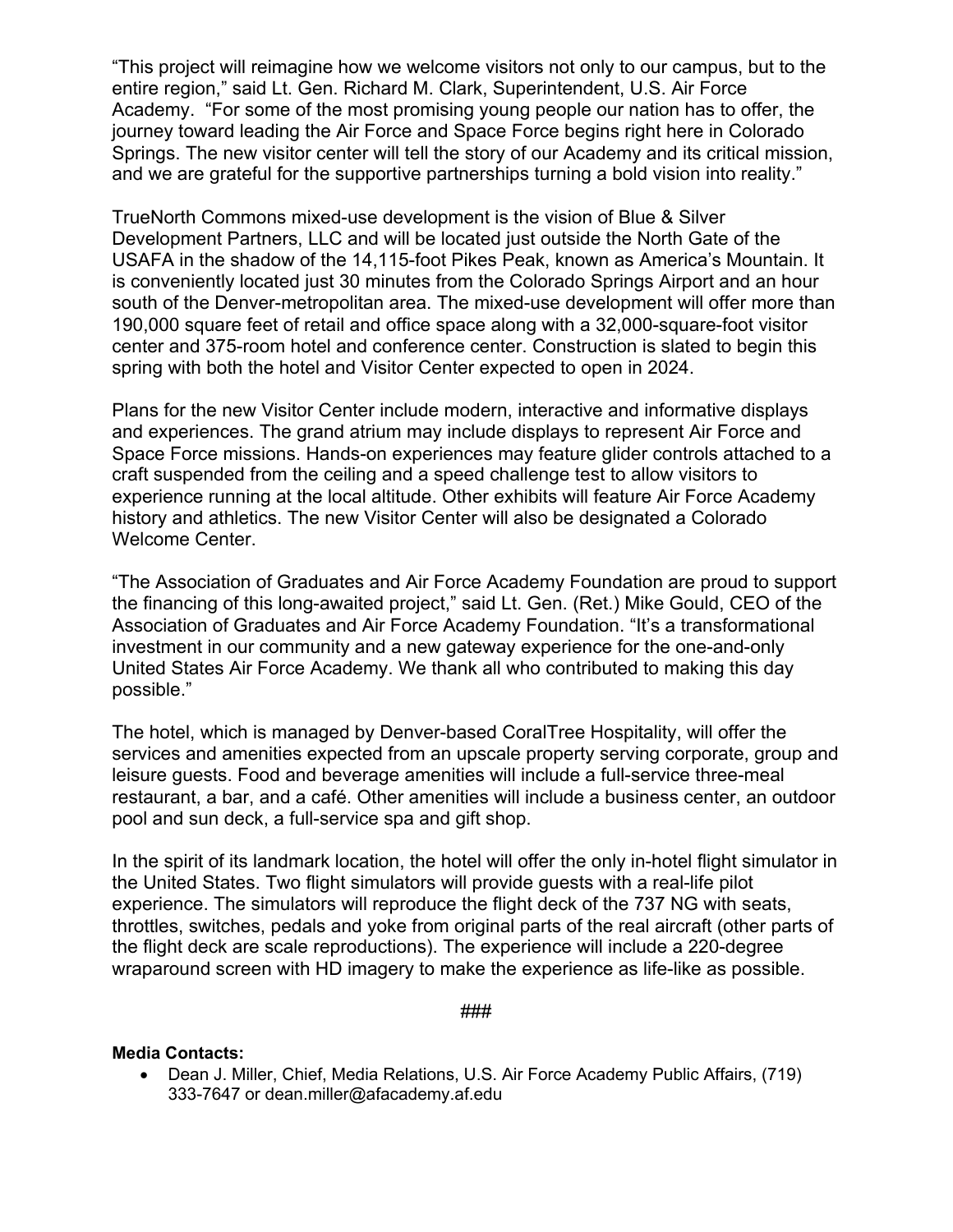"This project will reimagine how we welcome visitors not only to our campus, but to the entire region," said Lt. Gen. Richard M. Clark, Superintendent, U.S. Air Force Academy. "For some of the most promising young people our nation has to offer, the journey toward leading the Air Force and Space Force begins right here in Colorado Springs. The new visitor center will tell the story of our Academy and its critical mission, and we are grateful for the supportive partnerships turning a bold vision into reality."

TrueNorth Commons mixed-use development is the vision of Blue & Silver Development Partners, LLC and will be located just outside the North Gate of the USAFA in the shadow of the 14,115-foot Pikes Peak, known as America's Mountain. It is conveniently located just 30 minutes from the Colorado Springs Airport and an hour south of the Denver-metropolitan area. The mixed-use development will offer more than 190,000 square feet of retail and office space along with a 32,000-square-foot visitor center and 375-room hotel and conference center. Construction is slated to begin this spring with both the hotel and Visitor Center expected to open in 2024.

Plans for the new Visitor Center include modern, interactive and informative displays and experiences. The grand atrium may include displays to represent Air Force and Space Force missions. Hands-on experiences may feature glider controls attached to a craft suspended from the ceiling and a speed challenge test to allow visitors to experience running at the local altitude. Other exhibits will feature Air Force Academy history and athletics. The new Visitor Center will also be designated a Colorado Welcome Center.

"The Association of Graduates and Air Force Academy Foundation are proud to support the financing of this long-awaited project," said Lt. Gen. (Ret.) Mike Gould, CEO of the Association of Graduates and Air Force Academy Foundation. "It's a transformational investment in our community and a new gateway experience for the one-and-only United States Air Force Academy. We thank all who contributed to making this day possible."

The hotel, which is managed by Denver-based CoralTree Hospitality, will offer the services and amenities expected from an upscale property serving corporate, group and leisure guests. Food and beverage amenities will include a full-service three-meal restaurant, a bar, and a café. Other amenities will include a business center, an outdoor pool and sun deck, a full-service spa and gift shop.

In the spirit of its landmark location, the hotel will offer the only in-hotel flight simulator in the United States. Two flight simulators will provide guests with a real-life pilot experience. The simulators will reproduce the flight deck of the 737 NG with seats, throttles, switches, pedals and yoke from original parts of the real aircraft (other parts of the flight deck are scale reproductions). The experience will include a 220-degree wraparound screen with HD imagery to make the experience as life-like as possible.

###

## **Media Contacts:**

• Dean J. Miller, Chief, Media Relations, U.S. Air Force Academy Public Affairs, (719) 333-7647 or dean.miller@afacademy.af.edu